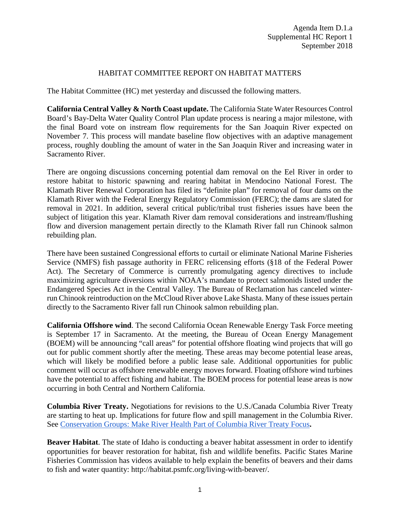## HABITAT COMMITTEE REPORT ON HABITAT MATTERS

The Habitat Committee (HC) met yesterday and discussed the following matters.

**California Central Valley & North Coast update.** The California State Water Resources Control Board's Bay-Delta Water Quality Control Plan update process is nearing a major milestone, with the final Board vote on instream flow requirements for the San Joaquin River expected on November 7. This process will mandate baseline flow objectives with an adaptive management process, roughly doubling the amount of water in the San Joaquin River and increasing water in Sacramento River.

There are ongoing discussions concerning potential dam removal on the Eel River in order to restore habitat to historic spawning and rearing habitat in Mendocino National Forest. The Klamath River Renewal Corporation has filed its "definite plan" for removal of four dams on the Klamath River with the Federal Energy Regulatory Commission (FERC); the dams are slated for removal in 2021. In addition, several critical public/tribal trust fisheries issues have been the subject of litigation this year. Klamath River dam removal considerations and instream/flushing flow and diversion management pertain directly to the Klamath River fall run Chinook salmon rebuilding plan.

There have been sustained Congressional efforts to curtail or eliminate National Marine Fisheries Service (NMFS) fish passage authority in FERC relicensing efforts (§18 of the Federal Power Act). The Secretary of Commerce is currently promulgating agency directives to include maximizing agriculture diversions within NOAA's mandate to protect salmonids listed under the Endangered Species Act in the Central Valley. The Bureau of Reclamation has canceled winterrun Chinook reintroduction on the McCloud River above Lake Shasta. Many of these issues pertain directly to the Sacramento River fall run Chinook salmon rebuilding plan.

**California Offshore wind**. The second California Ocean Renewable Energy Task Force meeting is September 17 in Sacramento. At the meeting, the Bureau of Ocean Energy Management (BOEM) will be announcing "call areas" for potential offshore floating wind projects that will go out for public comment shortly after the meeting. These areas may become potential lease areas, which will likely be modified before a public lease sale. Additional opportunities for public comment will occur as offshore renewable energy moves forward. Floating offshore wind turbines have the potential to affect fishing and habitat. The BOEM process for potential lease areas is now occurring in both Central and Northern California.

**Columbia River Treaty.** Negotiations for revisions to the U.S./Canada Columbia River Treaty are starting to heat up. Implications for future flow and spill management in the Columbia River. See [Conservation Groups: Make River Health Part of Columbia River Treaty Focus](https://www.publicnewsservice.org/2018-09-06/environment/conservation-groups-make-river-health-part-of-columbia-river-treaty-focus/a63887-1)**.**

**Beaver Habitat**. The state of Idaho is conducting a beaver habitat assessment in order to identify opportunities for beaver restoration for habitat, fish and wildlife benefits. Pacific States Marine Fisheries Commission has videos available to help explain the benefits of beavers and their dams to fish and water quantity: http://habitat.psmfc.org/living-with-beaver/.